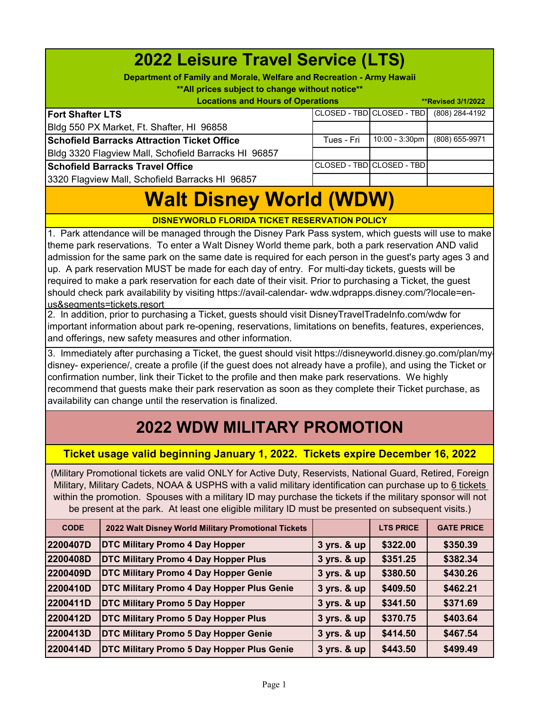| <b>2022 Leisure Travel Service (LTS)</b><br>Department of Family and Morale, Welfare and Recreation - Army Hawaii<br>** All prices subject to change without notice**<br><b>Locations and Hours of Operations</b><br><b>**Revised 3/1/2022</b> |            |                            |                |  |
|------------------------------------------------------------------------------------------------------------------------------------------------------------------------------------------------------------------------------------------------|------------|----------------------------|----------------|--|
| <b>Fort Shafter LTS</b>                                                                                                                                                                                                                        |            | CLOSED - TBD CLOSED - TBD  | (808) 284-4192 |  |
| Bldg 550 PX Market, Ft. Shafter, HI 96858                                                                                                                                                                                                      |            |                            |                |  |
| <b>Schofield Barracks Attraction Ticket Office</b>                                                                                                                                                                                             | Tues - Fri | $10:00 - 3:30$ pm          | (808) 655-9971 |  |
| Bldg 3320 Flagview Mall, Schofield Barracks HI 96857                                                                                                                                                                                           |            |                            |                |  |
| <b>Schofield Barracks Travel Office</b>                                                                                                                                                                                                        |            | CLOSED - TBDICLOSED - TBDI |                |  |
| 3320 Flagview Mall, Schofield Barracks HI 96857                                                                                                                                                                                                |            |                            |                |  |

## **Walt Disney World (WDW)**

**DISNEYWORLD FLORIDA TICKET RESERVATION POLICY**

1. Park attendance will be managed through the Disney Park Pass system, which guests will use to make theme park reservations. To enter a Walt Disney World theme park, both a park reservation AND valid admission for the same park on the same date is required for each person in the guest's party ages 3 and up. A park reservation MUST be made for each day of entry. For multi-day tickets, guests will be required to make a park reservation for each date of their visit. Prior to purchasing a Ticket, the guest should check park availability by visiting https://avail-calendar- wdw.wdprapps.disney.com/?locale=enus&segments=tickets.resort

2. In addition, prior to purchasing a Ticket, guests should visit DisneyTravelTradeInfo.com/wdw for important information about park re-opening, reservations, limitations on benefits, features, experiences, and offerings, new safety measures and other information.

3. Immediately after purchasing a Ticket, the guest should visit https://disneyworld.disney.go.com/plan/mydisney- experience/, create a profile (if the guest does not already have a profile), and using the Ticket or confirmation number, link their Ticket to the profile and then make park reservations. We highly recommend that guests make their park reservation as soon as they complete their Ticket purchase, as availability can change until the reservation is finalized.

## **2022 WDW MILITARY PROMOTION**

## **Ticket usage valid beginning January 1, 2022. Tickets expire December 16, 2022**

(Military Promotional tickets are valid ONLY for Active Duty, Reservists, National Guard, Retired, Foreign Military, Military Cadets, NOAA & USPHS with a valid military identification can purchase up to 6 tickets within the promotion. Spouses with a military ID may purchase the tickets if the military sponsor will not be present at the park. At least one eligible military ID must be presented on subsequent visits.)

| <b>CODE</b> | 2022 Walt Disney World Military Promotional Tickets |             | <b>LTS PRICE</b> | <b>GATE PRICE</b> |
|-------------|-----------------------------------------------------|-------------|------------------|-------------------|
| 2200407D    | <b>DTC Military Promo 4 Day Hopper</b>              | 3 yrs. & up | \$322.00         | \$350.39          |
| 2200408D    | <b>DTC Military Promo 4 Day Hopper Plus</b>         | 3 yrs. & up | \$351.25         | \$382.34          |
| 2200409D    | <b>DTC Military Promo 4 Day Hopper Genie</b>        | 3 yrs. & up | \$380.50         | \$430.26          |
| 2200410D    | <b>DTC Military Promo 4 Day Hopper Plus Genie</b>   | 3 yrs. & up | \$409.50         | \$462.21          |
| 2200411D    | <b>DTC Military Promo 5 Day Hopper</b>              | 3 yrs. & up | \$341.50         | \$371.69          |
| 2200412D    | <b>DTC Military Promo 5 Day Hopper Plus</b>         | 3 yrs. & up | \$370.75         | \$403.64          |
| 2200413D    | <b>DTC Military Promo 5 Day Hopper Genie</b>        | 3 yrs. & up | \$414.50         | \$467.54          |
| 2200414D    | <b>DTC Military Promo 5 Day Hopper Plus Genie</b>   | 3 yrs. & up | \$443.50         | \$499.49          |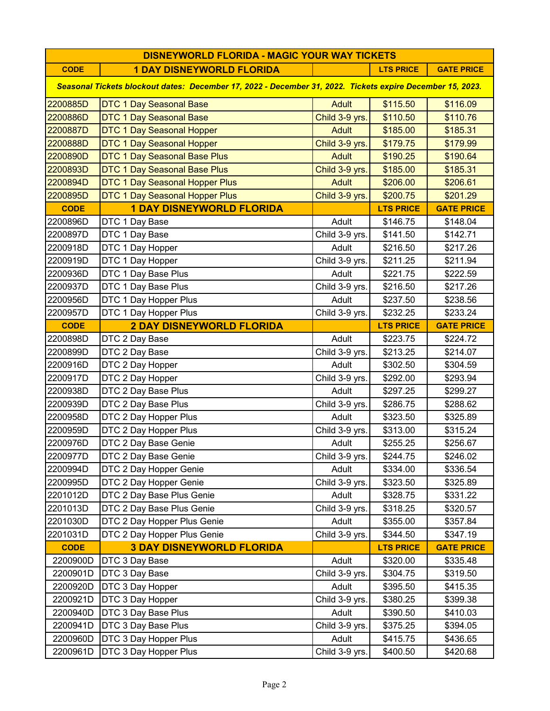| <b>DISNEYWORLD FLORIDA - MAGIC YOUR WAY TICKETS</b>                                                       |                                  |                |                  |                   |
|-----------------------------------------------------------------------------------------------------------|----------------------------------|----------------|------------------|-------------------|
| <b>CODE</b>                                                                                               | <b>1 DAY DISNEYWORLD FLORIDA</b> |                | <b>LTS PRICE</b> | <b>GATE PRICE</b> |
| Seasonal Tickets blockout dates: December 17, 2022 - December 31, 2022. Tickets expire December 15, 2023. |                                  |                |                  |                   |
| 2200885D                                                                                                  | <b>DTC 1 Day Seasonal Base</b>   | <b>Adult</b>   | \$115.50         | \$116.09          |
| 2200886D                                                                                                  | <b>DTC 1 Day Seasonal Base</b>   | Child 3-9 yrs. | \$110.50         | \$110.76          |
| 2200887D                                                                                                  | <b>DTC 1 Day Seasonal Hopper</b> | <b>Adult</b>   | \$185.00         | \$185.31          |
| 2200888D                                                                                                  | <b>DTC 1 Day Seasonal Hopper</b> | Child 3-9 yrs. | \$179.75         | \$179.99          |
| 2200890D                                                                                                  | DTC 1 Day Seasonal Base Plus     | <b>Adult</b>   | \$190.25         | \$190.64          |
| 2200893D                                                                                                  | DTC 1 Day Seasonal Base Plus     | Child 3-9 yrs. | \$185.00         | \$185.31          |
| 2200894D                                                                                                  | DTC 1 Day Seasonal Hopper Plus   | <b>Adult</b>   | \$206.00         | \$206.61          |
| 2200895D                                                                                                  | DTC 1 Day Seasonal Hopper Plus   | Child 3-9 yrs. | \$200.75         | \$201.29          |
| <b>CODE</b>                                                                                               | <b>1 DAY DISNEYWORLD FLORIDA</b> |                | <b>LTS PRICE</b> | <b>GATE PRICE</b> |
| 2200896D                                                                                                  | DTC 1 Day Base                   | Adult          | \$146.75         | \$148.04          |
| 2200897D                                                                                                  | DTC 1 Day Base                   | Child 3-9 yrs. | \$141.50         | \$142.71          |
| 2200918D                                                                                                  | DTC 1 Day Hopper                 | Adult          | \$216.50         | \$217.26          |
| 2200919D                                                                                                  | DTC 1 Day Hopper                 | Child 3-9 yrs. | \$211.25         | \$211.94          |
| 2200936D                                                                                                  | DTC 1 Day Base Plus              | Adult          | \$221.75         | \$222.59          |
| 2200937D                                                                                                  | DTC 1 Day Base Plus              | Child 3-9 yrs. | \$216.50         | \$217.26          |
| 2200956D                                                                                                  | DTC 1 Day Hopper Plus            | Adult          | \$237.50         | \$238.56          |
| 2200957D                                                                                                  | DTC 1 Day Hopper Plus            | Child 3-9 yrs. | \$232.25         | \$233.24          |
| <b>CODE</b>                                                                                               | <b>2 DAY DISNEYWORLD FLORIDA</b> |                | <b>LTS PRICE</b> | <b>GATE PRICE</b> |
| 2200898D                                                                                                  | DTC 2 Day Base                   | Adult          | \$223.75         | \$224.72          |
| 2200899D                                                                                                  | DTC 2 Day Base                   | Child 3-9 yrs. | \$213.25         | \$214.07          |
| 2200916D                                                                                                  | DTC 2 Day Hopper                 | Adult          | \$302.50         | \$304.59          |
| 2200917D                                                                                                  | DTC 2 Day Hopper                 | Child 3-9 yrs. | \$292.00         | \$293.94          |
| 2200938D                                                                                                  | DTC 2 Day Base Plus              | Adult          | \$297.25         | \$299.27          |
| 2200939D                                                                                                  | DTC 2 Day Base Plus              | Child 3-9 yrs. | \$286.75         | \$288.62          |
| 2200958D                                                                                                  | DTC 2 Day Hopper Plus            | Adult          | \$323.50         | \$325.89          |
| 2200959D                                                                                                  | DTC 2 Day Hopper Plus            | Child 3-9 yrs. | \$313.00         | \$315.24          |
| 2200976D                                                                                                  | DTC 2 Day Base Genie             | Adult          | \$255.25         | \$256.67          |
| 2200977D                                                                                                  | DTC 2 Day Base Genie             | Child 3-9 yrs. | \$244.75         | \$246.02          |
| 2200994D                                                                                                  | DTC 2 Day Hopper Genie           | Adult          | \$334.00         | \$336.54          |
| 2200995D                                                                                                  | DTC 2 Day Hopper Genie           | Child 3-9 yrs. | \$323.50         | \$325.89          |
| 2201012D                                                                                                  | DTC 2 Day Base Plus Genie        | Adult          | \$328.75         | \$331.22          |
| 2201013D                                                                                                  | DTC 2 Day Base Plus Genie        | Child 3-9 yrs. | \$318.25         | \$320.57          |
| 2201030D                                                                                                  | DTC 2 Day Hopper Plus Genie      | Adult          | \$355.00         | \$357.84          |
| 2201031D                                                                                                  | DTC 2 Day Hopper Plus Genie      | Child 3-9 yrs. | \$344.50         | \$347.19          |
| <b>CODE</b>                                                                                               | <b>3 DAY DISNEYWORLD FLORIDA</b> |                | <b>LTS PRICE</b> | <b>GATE PRICE</b> |
| 2200900D                                                                                                  | DTC 3 Day Base                   | Adult          | \$320.00         | \$335.48          |
| 2200901D                                                                                                  | DTC 3 Day Base                   | Child 3-9 yrs. | \$304.75         | \$319.50          |
| 2200920D                                                                                                  | DTC 3 Day Hopper                 | Adult          | \$395.50         | \$415.35          |
| 2200921D                                                                                                  | DTC 3 Day Hopper                 | Child 3-9 yrs. | \$380.25         | \$399.38          |
| 2200940D                                                                                                  | DTC 3 Day Base Plus              | Adult          | \$390.50         | \$410.03          |
| 2200941D                                                                                                  | DTC 3 Day Base Plus              | Child 3-9 yrs. | \$375.25         | \$394.05          |
| 2200960D                                                                                                  | DTC 3 Day Hopper Plus            | Adult          | \$415.75         | \$436.65          |
| 2200961D                                                                                                  | DTC 3 Day Hopper Plus            | Child 3-9 yrs. | \$400.50         | \$420.68          |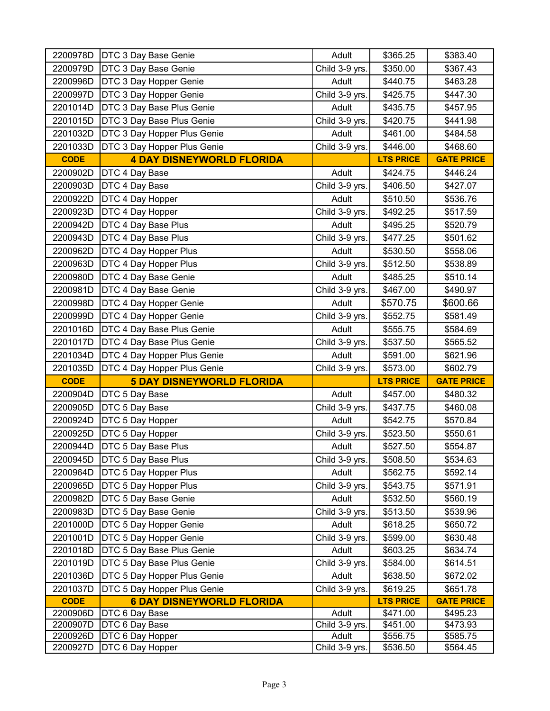| 2200978D             | DTC 3 Day Base Genie                 | Adult                   | \$365.25             | \$383.40             |
|----------------------|--------------------------------------|-------------------------|----------------------|----------------------|
| 2200979D             | DTC 3 Day Base Genie                 | Child 3-9 yrs.          | \$350.00             | \$367.43             |
| 2200996D             | DTC 3 Day Hopper Genie               | Adult                   | \$440.75             | \$463.28             |
| 2200997D             | DTC 3 Day Hopper Genie               | Child 3-9 yrs.          | \$425.75             | \$447.30             |
| 2201014D             | DTC 3 Day Base Plus Genie            | Adult                   | \$435.75             | \$457.95             |
| 2201015D             | DTC 3 Day Base Plus Genie            | Child 3-9 yrs.          | \$420.75             | \$441.98             |
| 2201032D             | DTC 3 Day Hopper Plus Genie          | Adult                   | \$461.00             | \$484.58             |
| 2201033D             | DTC 3 Day Hopper Plus Genie          | Child 3-9 yrs.          | \$446.00             | \$468.60             |
| <b>CODE</b>          | <b>4 DAY DISNEYWORLD FLORIDA</b>     |                         | <b>LTS PRICE</b>     | <b>GATE PRICE</b>    |
| 2200902D             | DTC 4 Day Base                       | Adult                   | \$424.75             | \$446.24             |
| 2200903D             | DTC 4 Day Base                       | Child 3-9 yrs.          | \$406.50             | \$427.07             |
| 2200922D             | DTC 4 Day Hopper                     | Adult                   | \$510.50             | \$536.76             |
| 2200923D             | DTC 4 Day Hopper                     | Child 3-9 yrs.          | \$492.25             | \$517.59             |
| 2200942D             | DTC 4 Day Base Plus                  | Adult                   | \$495.25             | \$520.79             |
| 2200943D             | DTC 4 Day Base Plus                  | Child 3-9 yrs.          | \$477.25             | \$501.62             |
| 2200962D             | DTC 4 Day Hopper Plus                | Adult                   | \$530.50             | \$558.06             |
| 2200963D             | DTC 4 Day Hopper Plus                | Child 3-9 yrs.          | \$512.50             | \$538.89             |
| 2200980D             | DTC 4 Day Base Genie                 | Adult                   | \$485.25             | \$510.14             |
| 2200981D             | DTC 4 Day Base Genie                 | Child 3-9 yrs.          | \$467.00             | \$490.97             |
| 2200998D             | DTC 4 Day Hopper Genie               | Adult                   | \$570.75             | \$600.66             |
| 2200999D             | DTC 4 Day Hopper Genie               | Child 3-9 yrs.          | \$552.75             | \$581.49             |
| 2201016D             | DTC 4 Day Base Plus Genie            | Adult                   | \$555.75             | \$584.69             |
| 2201017D             | DTC 4 Day Base Plus Genie            | Child 3-9 yrs.          | \$537.50             | \$565.52             |
| 2201034D             | DTC 4 Day Hopper Plus Genie          | Adult                   | \$591.00             | \$621.96             |
|                      |                                      |                         |                      |                      |
| 2201035D             | DTC 4 Day Hopper Plus Genie          | Child 3-9 yrs.          | \$573.00             | \$602.79             |
| <b>CODE</b>          | <b>5 DAY DISNEYWORLD FLORIDA</b>     |                         | <b>LTS PRICE</b>     | <b>GATE PRICE</b>    |
| 2200904D             | DTC 5 Day Base                       | Adult                   | \$457.00             | \$480.32             |
| 2200905D             | DTC 5 Day Base                       | Child 3-9 yrs.          | \$437.75             | \$460.08             |
| 2200924D             | DTC 5 Day Hopper                     | Adult                   | \$542.75             | \$570.84             |
| 2200925D             | DTC 5 Day Hopper                     | Child 3-9 yrs.          | \$523.50             | \$550.61             |
| 2200944D             | DTC 5 Day Base Plus                  | Adult                   | \$527.50             | \$554.87             |
| 2200945D             | DTC 5 Day Base Plus                  | Child 3-9 yrs.          | \$508.50             | \$534.63             |
| 2200964D             | DTC 5 Day Hopper Plus                | Adult                   | \$562.75             | \$592.14             |
| 2200965D             | DTC 5 Day Hopper Plus                | Child 3-9 yrs.          | \$543.75             | \$571.91             |
| 2200982D             | DTC 5 Day Base Genie                 | Adult                   | \$532.50             | \$560.19             |
| 2200983D             | DTC 5 Day Base Genie                 | Child 3-9 yrs.          | \$513.50             | \$539.96             |
| 2201000D             | DTC 5 Day Hopper Genie               | Adult                   | \$618.25             | \$650.72             |
| 2201001D             | DTC 5 Day Hopper Genie               | Child 3-9 yrs.          | \$599.00             | \$630.48             |
| 2201018D             | DTC 5 Day Base Plus Genie            | Adult                   | \$603.25             | \$634.74             |
| 2201019D             | DTC 5 Day Base Plus Genie            | Child 3-9 yrs.          | \$584.00             | \$614.51             |
| 2201036D             | DTC 5 Day Hopper Plus Genie          | Adult                   | \$638.50             | \$672.02             |
| 2201037D             | DTC 5 Day Hopper Plus Genie          | Child 3-9 yrs.          | \$619.25             | \$651.78             |
| <b>CODE</b>          | <b>6 DAY DISNEYWORLD FLORIDA</b>     |                         | <b>LTS PRICE</b>     | <b>GATE PRICE</b>    |
| 2200906D             | DTC 6 Day Base                       | Adult                   | \$471.00             | \$495.23             |
| 2200907D             | DTC 6 Day Base                       | Child 3-9 yrs.          | \$451.00             | \$473.93             |
| 2200926D<br>2200927D | DTC 6 Day Hopper<br>DTC 6 Day Hopper | Adult<br>Child 3-9 yrs. | \$556.75<br>\$536.50 | \$585.75<br>\$564.45 |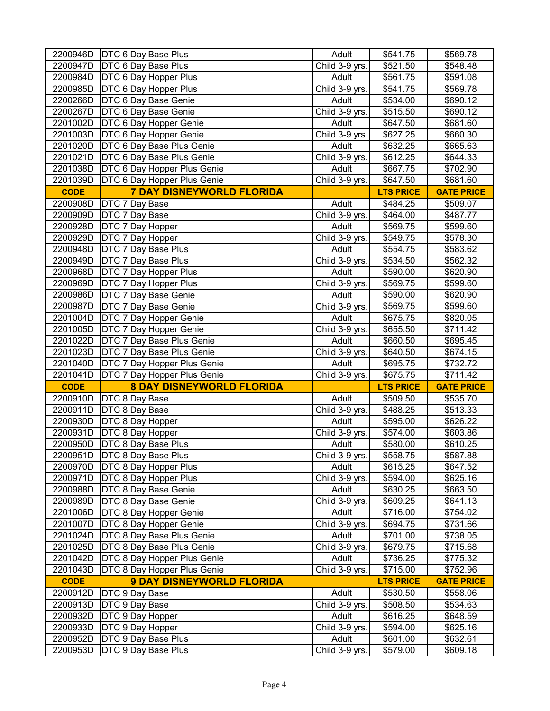| 2200946D             | DTC 6 Day Base Plus                                               | Adult                   | \$541.75             | \$569.78             |
|----------------------|-------------------------------------------------------------------|-------------------------|----------------------|----------------------|
| 2200947D             | <b>DTC 6 Day Base Plus</b>                                        | Child 3-9 yrs.          | \$521.50             | \$548.48             |
| 2200984D             | DTC 6 Day Hopper Plus                                             | Adult                   | \$561.75             | \$591.08             |
| 2200985D             | <b>DTC 6 Day Hopper Plus</b>                                      | Child 3-9 yrs.          | \$541.75             | \$569.78             |
| 2200266D             | DTC 6 Day Base Genie                                              | Adult                   | \$534.00             | \$690.12             |
| 2200267D             | DTC 6 Day Base Genie                                              | Child 3-9 yrs.          | \$515.50             | \$690.12             |
| 2201002D             | DTC 6 Day Hopper Genie                                            | Adult                   | \$647.50             | \$681.60             |
| 2201003D             | DTC 6 Day Hopper Genie                                            | Child 3-9 yrs.          | \$627.25             | \$660.30             |
| 2201020D             | DTC 6 Day Base Plus Genie                                         | Adult                   | \$632.25             | \$665.63             |
| 2201021D             | DTC 6 Day Base Plus Genie                                         | Child 3-9 yrs.          | \$612.25             | \$644.33             |
| 2201038D             | DTC 6 Day Hopper Plus Genie                                       | Adult                   | \$667.75             | \$702.90             |
| 2201039D             | DTC 6 Day Hopper Plus Genie                                       | Child 3-9 yrs.          | \$647.50             | \$681.60             |
| <b>CODE</b>          | <b>7 DAY DISNEYWORLD FLORIDA</b>                                  |                         | <b>LTS PRICE</b>     | <b>GATE PRICE</b>    |
| 2200908D             | DTC 7 Day Base                                                    | Adult                   | \$484.25             | \$509.07             |
| 2200909D             | DTC 7 Day Base                                                    | Child 3-9 yrs.          | \$464.00             | \$487.77             |
| 2200928D             | DTC 7 Day Hopper                                                  | Adult                   | \$569.75             | \$599.60             |
| 2200929D             | DTC 7 Day Hopper                                                  | Child 3-9 yrs.          | \$549.75             | \$578.30             |
| 2200948D             | DTC 7 Day Base Plus                                               | Adult                   | \$554.75             | \$583.62             |
| 2200949D             | <b>DTC 7 Day Base Plus</b>                                        | Child 3-9 yrs.          | \$534.50             | \$562.32             |
| 2200968D             | <b>DTC 7 Day Hopper Plus</b>                                      | Adult                   | \$590.00             | \$620.90             |
| 2200969D             | DTC 7 Day Hopper Plus                                             | Child 3-9 yrs.          | \$569.75             | \$599.60             |
| 2200986D             | DTC 7 Day Base Genie                                              | Adult                   | \$590.00             | \$620.90             |
| 2200987D             | DTC 7 Day Base Genie                                              | Child 3-9 yrs.          | \$569.75             | \$599.60             |
| 2201004D             | DTC 7 Day Hopper Genie                                            | Adult                   | \$675.75             | \$820.05             |
| 2201005D             | DTC 7 Day Hopper Genie                                            | Child 3-9 yrs.          | \$655.50             | \$711.42             |
| 2201022D             | DTC 7 Day Base Plus Genie                                         | Adult                   | \$660.50             | \$695.45             |
| 2201023D             | DTC 7 Day Base Plus Genie                                         | Child 3-9 yrs.          | \$640.50             |                      |
|                      |                                                                   |                         |                      |                      |
| 2201040D             |                                                                   |                         |                      | \$674.15             |
| 2201041D             | <b>DTC</b> 7 Day Hopper Plus Genie<br>DTC 7 Day Hopper Plus Genie | Adult                   | \$695.75<br>\$675.75 | \$732.72<br>\$711.42 |
| <b>CODE</b>          |                                                                   | Child 3-9 yrs.          | <b>LTS PRICE</b>     | <b>GATE PRICE</b>    |
| 2200910D             | <b>8 DAY DISNEYWORLD FLORIDA</b>                                  | Adult                   | \$509.50             | \$535.70             |
| 2200911D             | DTC 8 Day Base<br>DTC 8 Day Base                                  |                         | \$488.25             | \$513.33             |
| 2200930D             |                                                                   | Child 3-9 yrs.<br>Adult | \$595.00             | \$626.22             |
| 2200931D             | DTC 8 Day Hopper<br>DTC 8 Day Hopper                              | Child 3-9 yrs.          | \$574.00             | \$603.86             |
| 2200950D             | DTC 8 Day Base Plus                                               | Adult                   | \$580.00             | \$610.25             |
| 2200951D             | DTC 8 Day Base Plus                                               | Child 3-9 yrs.          | \$558.75             | \$587.88             |
| 2200970D             | DTC 8 Day Hopper Plus                                             | Adult                   | \$615.25             | \$647.52             |
| 2200971D             | DTC 8 Day Hopper Plus                                             | Child 3-9 yrs.          | \$594.00             | \$625.16             |
| 2200988D             | DTC 8 Day Base Genie                                              | Adult                   | \$630.25             | \$663.50             |
| 2200989D             | DTC 8 Day Base Genie                                              | Child 3-9 yrs.          | \$609.25             | \$641.13             |
| 2201006D             | DTC 8 Day Hopper Genie                                            | Adult                   | \$716.00             | \$754.02             |
| 2201007D             | DTC 8 Day Hopper Genie                                            | Child 3-9 yrs.          | \$694.75             | \$731.66             |
| 2201024D             | DTC 8 Day Base Plus Genie                                         | Adult                   | \$701.00             | \$738.05             |
| 2201025D             | DTC 8 Day Base Plus Genie                                         | Child 3-9 yrs.          | \$679.75             | \$715.68             |
| 2201042D             | DTC 8 Day Hopper Plus Genie                                       | Adult                   | \$736.25             | \$775.32             |
| 2201043D             | DTC 8 Day Hopper Plus Genie                                       | Child 3-9 yrs.          | \$715.00             | \$752.96             |
| <b>CODE</b>          | <b>9 DAY DISNEYWORLD FLORIDA</b>                                  |                         | <b>LTS PRICE</b>     | <b>GATE PRICE</b>    |
| 2200912D             | DTC 9 Day Base                                                    | Adult                   | \$530.50             | \$558.06             |
| 2200913D             | DTC 9 Day Base                                                    | Child 3-9 yrs.          | \$508.50             | \$534.63             |
| 2200932D             | DTC 9 Day Hopper                                                  | Adult                   | \$616.25             | \$648.59             |
| 2200933D             | DTC 9 Day Hopper                                                  | Child 3-9 yrs.          | \$594.00             | \$625.16             |
| 2200952D<br>2200953D | DTC 9 Day Base Plus<br>DTC 9 Day Base Plus                        | Adult<br>Child 3-9 yrs. | \$601.00<br>\$579.00 | \$632.61<br>\$609.18 |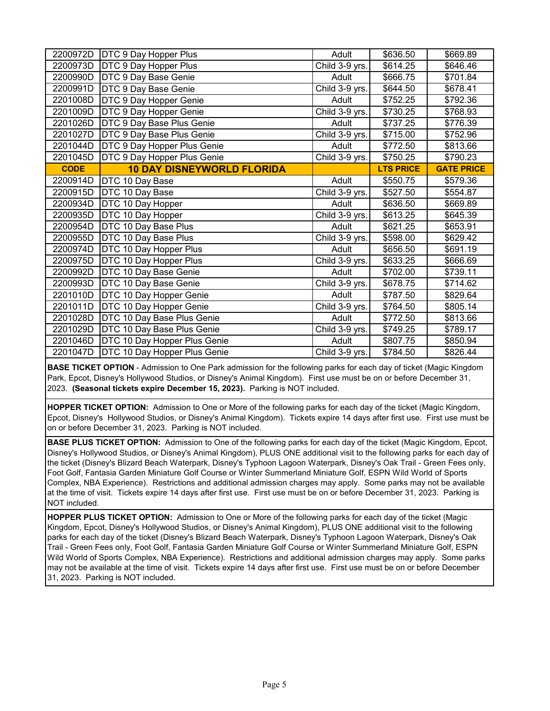| 2200972D    | DTC 9 Day Hopper Plus             | Adult          | \$636.50         | \$669.89          |
|-------------|-----------------------------------|----------------|------------------|-------------------|
| 2200973D    | DTC 9 Day Hopper Plus             | Child 3-9 yrs. | \$614.25         | \$646.46          |
| 2200990D    | DTC 9 Day Base Genie              | Adult          | \$666.75         | \$701.84          |
| 2200991D    | DTC 9 Day Base Genie              | Child 3-9 yrs. | \$644.50         | \$678.41          |
| 2201008D    | DTC 9 Day Hopper Genie            | Adult          | \$752.25         | \$792.36          |
| 2201009D    | DTC 9 Day Hopper Genie            | Child 3-9 yrs. | \$730.25         | \$768.93          |
| 2201026D    | DTC 9 Day Base Plus Genie         | Adult          | \$737.25         | \$776.39          |
| 2201027D    | DTC 9 Day Base Plus Genie         | Child 3-9 yrs. | \$715.00         | \$752.96          |
| 2201044D    | DTC 9 Day Hopper Plus Genie       | Adult          | \$772.50         | \$813.66          |
| 2201045D    | DTC 9 Day Hopper Plus Genie       | Child 3-9 yrs. | \$750.25         | \$790.23          |
| <b>CODE</b> | <b>10 DAY DISNEYWORLD FLORIDA</b> |                | <b>LTS PRICE</b> | <b>GATE PRICE</b> |
| 2200914D    | DTC 10 Day Base                   | Adult          | \$550.75         | \$579.36          |
| 2200915D    | DTC 10 Day Base                   | Child 3-9 yrs. | \$527.50         | \$554.87          |
| 2200934D    | DTC 10 Day Hopper                 | Adult          | \$636.50         | \$669.89          |
| 2200935D    | DTC 10 Day Hopper                 | Child 3-9 yrs. | \$613.25         | \$645.39          |
| 2200954D    | DTC 10 Day Base Plus              | Adult          | \$621.25         | \$653.91          |
| 2200955D    | DTC 10 Day Base Plus              | Child 3-9 yrs. | \$598.00         | \$629.42          |
| 2200974D    | DTC 10 Day Hopper Plus            | Adult          | \$656.50         | \$691.19          |
| 2200975D    | DTC 10 Day Hopper Plus            | Child 3-9 yrs. | \$633.25         | \$666.69          |
| 2200992D    | DTC 10 Day Base Genie             | Adult          | \$702.00         | \$739.11          |
| 2200993D    | DTC 10 Day Base Genie             | Child 3-9 yrs. | \$678.75         | \$714.62          |
| 2201010D    | DTC 10 Day Hopper Genie           | Adult          | \$787.50         | \$829.64          |
| 2201011D    | DTC 10 Day Hopper Genie           | Child 3-9 yrs. | \$764.50         | \$805.14          |
| 2201028D    | DTC 10 Day Base Plus Genie        | Adult          | \$772.50         | \$813.66          |
| 2201029D    | DTC 10 Day Base Plus Genie        | Child 3-9 yrs. | \$749.25         | \$789.17          |
| 2201046D    | DTC 10 Day Hopper Plus Genie      | Adult          | \$807.75         | \$850.94          |
| 2201047D    | DTC 10 Day Hopper Plus Genie      | Child 3-9 yrs. | \$784.50         | \$826.44          |

**BASE TICKET OPTION** - Admission to One Park admission for the following parks for each day of ticket (Magic Kingdom Park, Epcot, Disney's Hollywood Studios, or Disney's Animal Kingdom). First use must be on or before December 31, 2023. **(Seasonal tickets expire December 15, 2023).** Parking is NOT included.

**HOPPER TICKET OPTION:** Admission to One or More of the following parks for each day of the ticket (Magic Kingdom, Epcot, Disney's Hollywood Studios, or Disney's Animal Kingdom). Tickets expire 14 days after first use. First use must be on or before December 31, 2023. Parking is NOT included.

**BASE PLUS TICKET OPTION:** Admission to One of the following parks for each day of the ticket (Magic Kingdom, Epcot, Disney's Hollywood Studios, or Disney's Animal Kingdom), PLUS ONE additional visit to the following parks for each day of the ticket (Disney's Blizard Beach Waterpark, Disney's Typhoon Lagoon Waterpark, Disney's Oak Trail - Green Fees only, Foot Golf, Fantasia Garden Miniature Golf Course or Winter Summerland Miniature Golf, ESPN Wild World of Sports Complex, NBA Experience). Restrictions and additional admission charges may apply. Some parks may not be available at the time of visit. Tickets expire 14 days after first use. First use must be on or before December 31, 2023. Parking is NOT included.

**HOPPER PLUS TICKET OPTION:** Admission to One or More of the following parks for each day of the ticket (Magic Kingdom, Epcot, Disney's Hollywood Studios, or Disney's Animal Kingdom), PLUS ONE additional visit to the following parks for each day of the ticket (Disney's Blizard Beach Waterpark, Disney's Typhoon Lagoon Waterpark, Disney's Oak Trail - Green Fees only, Foot Golf, Fantasia Garden Miniature Golf Course or Winter Summerland Miniature Golf, ESPN Wild World of Sports Complex, NBA Experience). Restrictions and additional admission charges may apply. Some parks may not be available at the time of visit. Tickets expire 14 days after first use. First use must be on or before December 31, 2023. Parking is NOT included.